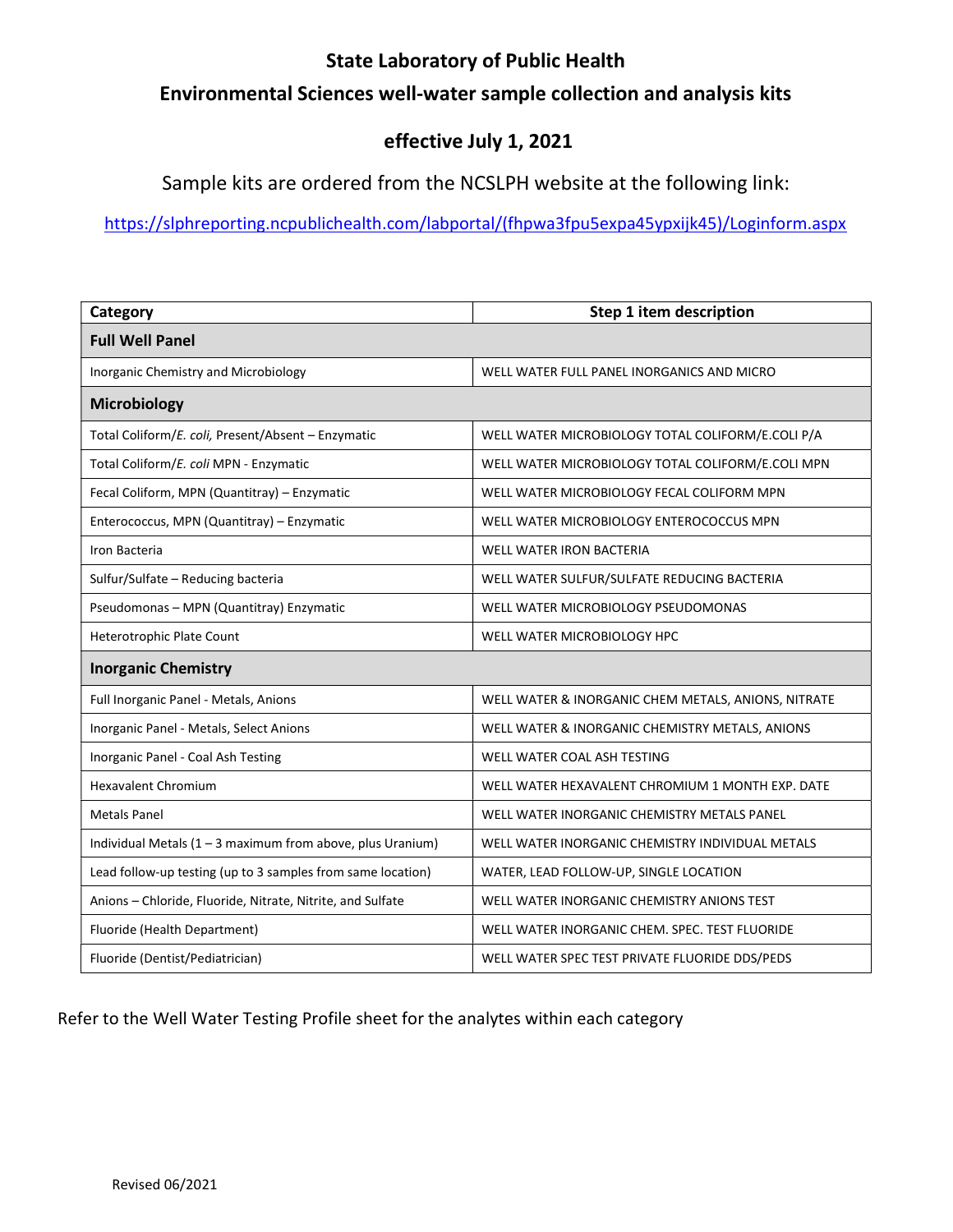## State Laboratory of Public Health

## Environmental Sciences well-water sample collection and analysis kits

## effective July 1, 2021

Sample kits are ordered from the NCSLPH website at the following link:

https://slphreporting.ncpublichealth.com/labportal/(fhpwa3fpu5expa45ypxijk45)/Loginform.aspx

| Category                                                     | Step 1 item description                             |
|--------------------------------------------------------------|-----------------------------------------------------|
| <b>Full Well Panel</b>                                       |                                                     |
| Inorganic Chemistry and Microbiology                         | WELL WATER FULL PANEL INORGANICS AND MICRO          |
| <b>Microbiology</b>                                          |                                                     |
| Total Coliform/E. coli, Present/Absent - Enzymatic           | WELL WATER MICROBIOLOGY TOTAL COLIFORM/E.COLI P/A   |
| Total Coliform/E. coli MPN - Enzymatic                       | WELL WATER MICROBIOLOGY TOTAL COLIFORM/E.COLI MPN   |
| Fecal Coliform, MPN (Quantitray) - Enzymatic                 | WELL WATER MICROBIOLOGY FECAL COLIFORM MPN          |
| Enterococcus, MPN (Quantitray) - Enzymatic                   | WELL WATER MICROBIOLOGY ENTEROCOCCUS MPN            |
| Iron Bacteria                                                | <b>WELL WATER IRON BACTERIA</b>                     |
| Sulfur/Sulfate - Reducing bacteria                           | WELL WATER SULFUR/SULFATE REDUCING BACTERIA         |
| Pseudomonas - MPN (Quantitray) Enzymatic                     | WELL WATER MICROBIOLOGY PSEUDOMONAS                 |
| Heterotrophic Plate Count                                    | WELL WATER MICROBIOLOGY HPC                         |
| <b>Inorganic Chemistry</b>                                   |                                                     |
| Full Inorganic Panel - Metals, Anions                        | WELL WATER & INORGANIC CHEM METALS, ANIONS, NITRATE |
| Inorganic Panel - Metals, Select Anions                      | WELL WATER & INORGANIC CHEMISTRY METALS, ANIONS     |
| Inorganic Panel - Coal Ash Testing                           | WELL WATER COAL ASH TESTING                         |
| <b>Hexavalent Chromium</b>                                   | WELL WATER HEXAVALENT CHROMIUM 1 MONTH EXP. DATE    |
| <b>Metals Panel</b>                                          | WELL WATER INORGANIC CHEMISTRY METALS PANEL         |
| Individual Metals $(1 - 3$ maximum from above, plus Uranium) | WELL WATER INORGANIC CHEMISTRY INDIVIDUAL METALS    |
| Lead follow-up testing (up to 3 samples from same location)  | WATER, LEAD FOLLOW-UP, SINGLE LOCATION              |
| Anions - Chloride, Fluoride, Nitrate, Nitrite, and Sulfate   | WELL WATER INORGANIC CHEMISTRY ANIONS TEST          |
| Fluoride (Health Department)                                 | WELL WATER INORGANIC CHEM. SPEC. TEST FLUORIDE      |
| Fluoride (Dentist/Pediatrician)                              | WELL WATER SPEC TEST PRIVATE FLUORIDE DDS/PEDS      |

Refer to the Well Water Testing Profile sheet for the analytes within each category